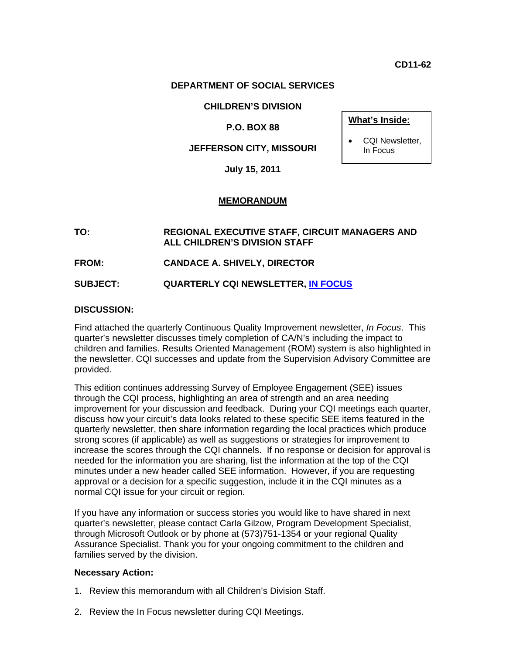**CD11-62** 

### **DEPARTMENT OF SOCIAL SERVICES**

### **CHILDREN'S DIVISION**

# **P.O. BOX 88**

### **JEFFERSON CITY, MISSOURI**

**July 15, 2011** 

## **MEMORANDUM**

#### **TO: REGIONAL EXECUTIVE STAFF, CIRCUIT MANAGERS AND ALL CHILDREN'S DIVISION STAFF**

## **FROM: CANDACE A. SHIVELY, DIRECTOR**

**SUBJECT: QUARTERLY CQI NEWSLETTER, [IN FOCUS](http://dssweb/cs/CQI/newsletter/2011/071511.pdf)**

#### **DISCUSSION:**

Find attached the quarterly Continuous Quality Improvement newsletter, *In Focus*. This quarter's newsletter discusses timely completion of CA/N's including the impact to children and families. Results Oriented Management (ROM) system is also highlighted in the newsletter. CQI successes and update from the Supervision Advisory Committee are provided.

This edition continues addressing Survey of Employee Engagement (SEE) issues through the CQI process, highlighting an area of strength and an area needing improvement for your discussion and feedback. During your CQI meetings each quarter, discuss how your circuit's data looks related to these specific SEE items featured in the quarterly newsletter, then share information regarding the local practices which produce strong scores (if applicable) as well as suggestions or strategies for improvement to increase the scores through the CQI channels. If no response or decision for approval is needed for the information you are sharing, list the information at the top of the CQI minutes under a new header called SEE information. However, if you are requesting approval or a decision for a specific suggestion, include it in the CQI minutes as a normal CQI issue for your circuit or region.

If you have any information or success stories you would like to have shared in next quarter's newsletter, please contact Carla Gilzow, Program Development Specialist, through Microsoft Outlook or by phone at (573)751-1354 or your regional Quality Assurance Specialist. Thank you for your ongoing commitment to the children and families served by the division.

#### **Necessary Action:**

- 1. Review this memorandum with all Children's Division Staff.
- 2. Review the In Focus newsletter during CQI Meetings.

# **What's Inside:**

• CQI Newsletter, In Focus